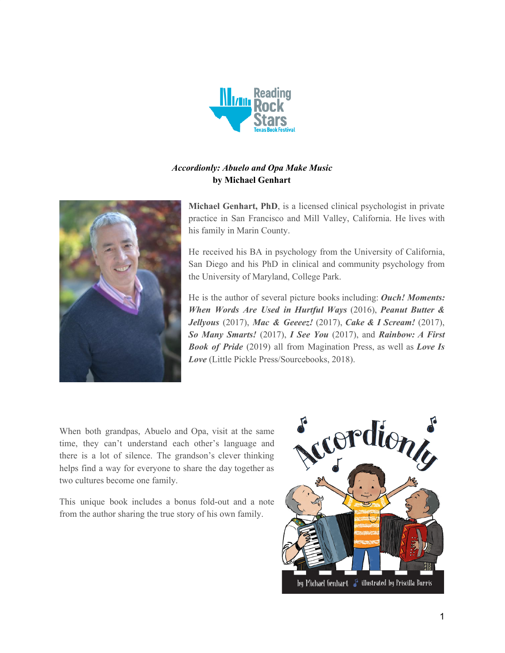

# *Accordionly: Abuelo and Opa Make Music* **by Michael Genhart**



**Michael Genhart, PhD**, is a licensed clinical psychologist in private practice in San Francisco and Mill Valley, California. He lives with his family in Marin County.

He received his BA in psychology from the University of California, San Diego and his PhD in clinical and community psychology from the University of Maryland, College Park.

He is the author of several picture books including: *Ouch! Moments: When Words Are Used in Hurtful Ways* (2016), *Peanut Butter & Jellyous* (2017), *Mac & Geeeez!* (2017), *Cake & I Scream!* (2017), *So Many Smarts!* (2017), *I See You* (2017), and *Rainbow: A First Book of Pride* (2019) all from Magination Press, as well as *Love Is Love* (Little Pickle Press/Sourcebooks, 2018).

When both grandpas, Abuelo and Opa, visit at the same time, they can't understand each other's language and there is a lot of silence. The grandson's clever thinking helps find a way for everyone to share the day together as two cultures become one family.

This unique book includes a bonus fold-out and a note from the author sharing the true story of his own family.

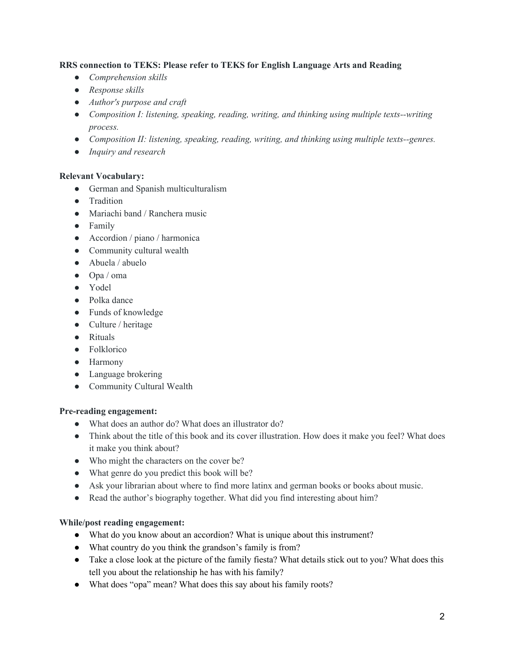### **RRS connection to TEKS: Please refer to TEKS for English Language Arts and Reading**

- *● Comprehension skills*
- *● Response skills*
- *● Author's purpose and craft*
- *● Composition I: listening, speaking, reading, writing, and thinking using multiple texts--writing process.*
- *● Composition II: listening, speaking, reading, writing, and thinking using multiple texts--genres.*
- *● Inquiry and research*

### **Relevant Vocabulary:**

- German and Spanish multiculturalism
- Tradition
- Mariachi band / Ranchera music
- Family
- Accordion / piano / harmonica
- Community cultural wealth
- Abuela / abuelo
- Opa / oma
- Yodel
- Polka dance
- Funds of knowledge
- Culture / heritage
- Rituals
- Folklorico
- Harmony
- Language brokering
- Community Cultural Wealth

### **Pre-reading engagement:**

- What does an author do? What does an illustrator do?
- Think about the title of this book and its cover illustration. How does it make you feel? What does it make you think about?
- Who might the characters on the cover be?
- What genre do you predict this book will be?
- Ask your librarian about where to find more latinx and german books or books about music.
- Read the author's biography together. What did you find interesting about him?

### **While/post reading engagement:**

- What do you know about an accordion? What is unique about this instrument?
- What country do you think the grandson's family is from?
- Take a close look at the picture of the family fiesta? What details stick out to you? What does this tell you about the relationship he has with his family?
- What does "opa" mean? What does this say about his family roots?